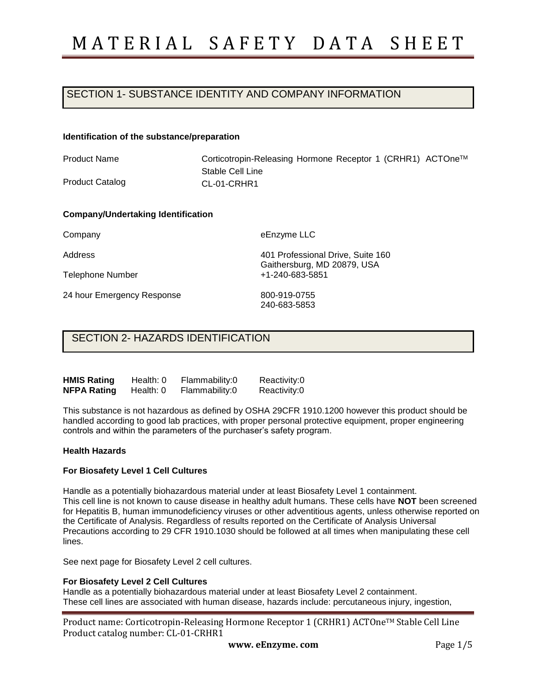# SECTION 1- SUBSTANCE IDENTITY AND COMPANY INFORMATION

#### **Identification of the substance/preparation**

Product Name

Product Catalog

Corticotropin-Releasing Hormone Receptor 1 (CRHR1) ACTOneTM Stable Cell Line CL-01-CRHR1

#### **Company/Undertaking Identification**

Company

Address

Telephone Number

24 hour Emergency Response

eEnzyme LLC

401 Professional Drive, Suite 160 Gaithersburg, MD 20879, USA +1-240-683-5851

800-919-0755 240-683-5853

### SECTION 2- HAZARDS IDENTIFICATION

| <b>HMIS Rating</b> | Health: 0 | Flammability:0 | Reactivity:0 |
|--------------------|-----------|----------------|--------------|
| NFPA Rating        | Health: 0 | Flammability:0 | Reactivity:0 |

This substance is not hazardous as defined by OSHA 29CFR 1910.1200 however this product should be handled according to good lab practices, with proper personal protective equipment, proper engineering controls and within the parameters of the purchaser's safety program.

#### **Health Hazards**

#### **For Biosafety Level 1 Cell Cultures**

Handle as a potentially biohazardous material under at least Biosafety Level 1 containment. This cell line is not known to cause disease in healthy adult humans. These cells have **NOT** been screened for Hepatitis B, human immunodeficiency viruses or other adventitious agents, unless otherwise reported on the Certificate of Analysis. Regardless of results reported on the Certificate of Analysis Universal Precautions according to 29 CFR 1910.1030 should be followed at all times when manipulating these cell lines.

See next page for Biosafety Level 2 cell cultures.

#### **For Biosafety Level 2 Cell Cultures**

Handle as a potentially biohazardous material under at least Biosafety Level 2 containment. These cell lines are associated with human disease, hazards include: percutaneous injury, ingestion,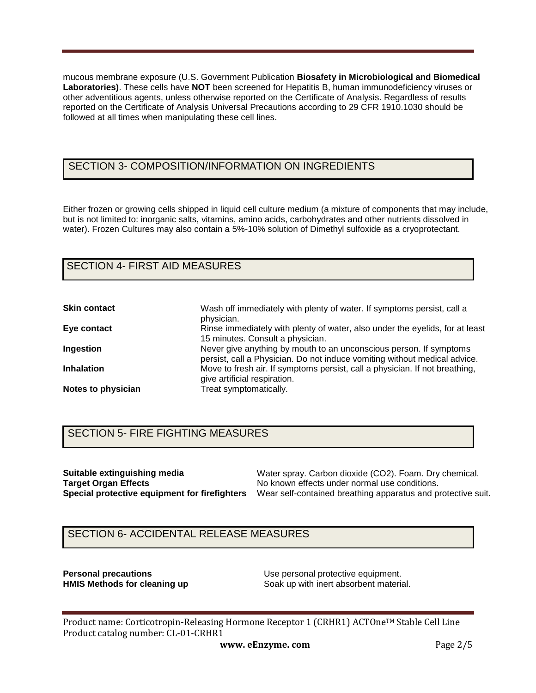mucous membrane exposure (U.S. Government Publication **Biosafety in Microbiological and Biomedical Laboratories)**. These cells have **NOT** been screened for Hepatitis B, human immunodeficiency viruses or other adventitious agents, unless otherwise reported on the Certificate of Analysis. Regardless of results reported on the Certificate of Analysis Universal Precautions according to 29 CFR 1910.1030 should be followed at all times when manipulating these cell lines.

## SECTION 3- COMPOSITION/INFORMATION ON INGREDIENTS

Either frozen or growing cells shipped in liquid cell culture medium (a mixture of components that may include, but is not limited to: inorganic salts, vitamins, amino acids, carbohydrates and other nutrients dissolved in water). Frozen Cultures may also contain a 5%-10% solution of Dimethyl sulfoxide as a cryoprotectant.

# SECTION 4- FIRST AID MEASURES

| <b>Skin contact</b> | Wash off immediately with plenty of water. If symptoms persist, call a<br>physician.                                                            |
|---------------------|-------------------------------------------------------------------------------------------------------------------------------------------------|
| Eye contact         | Rinse immediately with plenty of water, also under the eyelids, for at least<br>15 minutes. Consult a physician.                                |
| Ingestion           | Never give anything by mouth to an unconscious person. If symptoms<br>persist, call a Physician. Do not induce vomiting without medical advice. |
| <b>Inhalation</b>   | Move to fresh air. If symptoms persist, call a physician. If not breathing,<br>give artificial respiration.                                     |
| Notes to physician  | Treat symptomatically.                                                                                                                          |

## SECTION 5- FIRE FIGHTING MEASURES

**Suitable extinguishing media Target Organ Effects**

**Special protective equipment for firefighters**  Wear self-contained breathing apparatus and protective suit. Water spray. Carbon dioxide (CO2). Foam. Dry chemical. No known effects under normal use conditions.

### SECTION 6- ACCIDENTAL RELEASE MEASURES

**Personal precautions**<br> **HMIS Methods for cleaning up**<br> **Coak up with inert absorbent material** Soak up with inert absorbent material.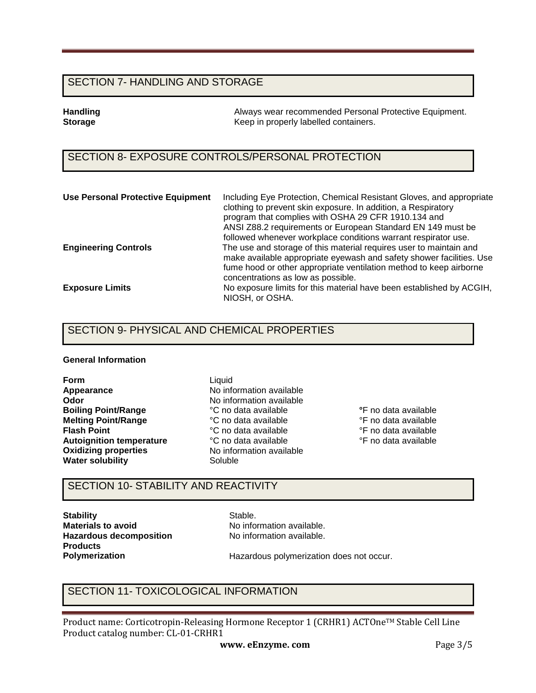### SECTION 7- HANDLING AND STORAGE

**Handling Tandling 1986** Always wear recommended Personal Protective Equipment.<br> **Storage** The Reep in properly labelled containers. **Storage** Keep in properly labelled containers.

## SECTION 8- EXPOSURE CONTROLS/PERSONAL PROTECTION

| <b>Use Personal Protective Equipment</b> | Including Eye Protection, Chemical Resistant Gloves, and appropriate<br>clothing to prevent skin exposure. In addition, a Respiratory<br>program that complies with OSHA 29 CFR 1910.134 and<br>ANSI Z88.2 requirements or European Standard EN 149 must be<br>followed whenever workplace conditions warrant respirator use. |
|------------------------------------------|-------------------------------------------------------------------------------------------------------------------------------------------------------------------------------------------------------------------------------------------------------------------------------------------------------------------------------|
| <b>Engineering Controls</b>              | The use and storage of this material requires user to maintain and<br>make available appropriate eyewash and safety shower facilities. Use<br>fume hood or other appropriate ventilation method to keep airborne<br>concentrations as low as possible.                                                                        |
| <b>Exposure Limits</b>                   | No exposure limits for this material have been established by ACGIH,<br>NIOSH, or OSHA.                                                                                                                                                                                                                                       |

### SECTION 9- PHYSICAL AND CHEMICAL PROPERTIES

#### **General Information**

**Form Appearance Odor Boiling Point/Range Melting Point/Range Flash Point Autoignition temperature Oxidizing properties Water solubility**

Liquid No information available No information available °C no data available °C no data available °C no data available °C no data available No information available Soluble

**°**F no data available °F no data available °F no data available °F no data available

### SECTION 10- STABILITY AND REACTIVITY

**Stability Materials to avoid Hazardous decomposition Products Polymerization** 

Stable. No information available. No information available.

Hazardous polymerization does not occur.

### SECTION 11- TOXICOLOGICAL INFORMATION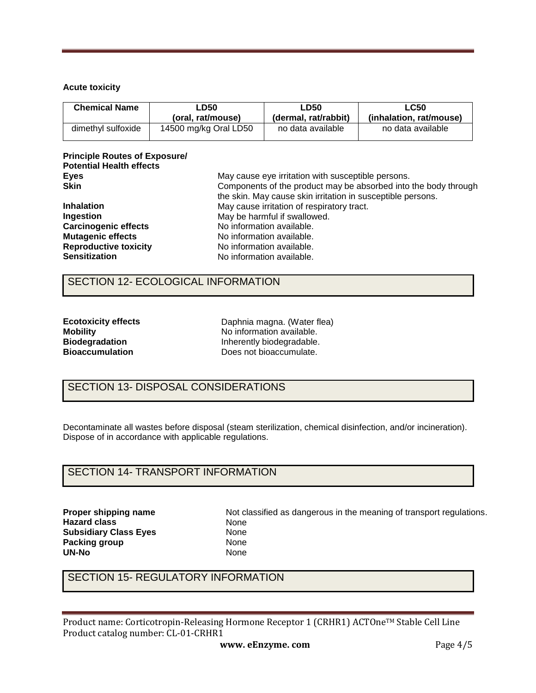### **Acute toxicity**

| <b>Chemical Name</b> | ∟D50                  | <b>LD50</b>          | LC50                    |  |
|----------------------|-----------------------|----------------------|-------------------------|--|
|                      | (oral. rat/mouse)     | (dermal, rat/rabbit) | (inhalation. rat/mouse) |  |
| dimethyl sulfoxide   | 14500 mg/kg Oral LD50 | no data available    | no data available       |  |

### **Principle Routes of Exposure/ Potential Health effects Eyes Skin**

| <b>Skin</b>                  | Components of the product may be absorbed into the body through |
|------------------------------|-----------------------------------------------------------------|
|                              | the skin. May cause skin irritation in susceptible persons.     |
| <b>Inhalation</b>            | May cause irritation of respiratory tract.                      |
| Ingestion                    | May be harmful if swallowed.                                    |
| <b>Carcinogenic effects</b>  | No information available.                                       |
| <b>Mutagenic effects</b>     | No information available.                                       |
| <b>Reproductive toxicity</b> | No information available.                                       |
| <b>Sensitization</b>         | No information available.                                       |
|                              |                                                                 |

May cause eye irritation with susceptible persons.

### SECTION 12- ECOLOGICAL INFORMATION

| <b>Ecotoxicity effects</b> |
|----------------------------|
| <b>Mobility</b>            |
| <b>Biodegradation</b>      |
| <b>Bioaccumulation</b>     |

Daphnia magna. (Water flea) No information available. Inherently biodegradable. Does not bioaccumulate.

# SECTION 13- DISPOSAL CONSIDERATIONS

Decontaminate all wastes before disposal (steam sterilization, chemical disinfection, and/or incineration). Dispose of in accordance with applicable regulations.

### SECTION 14- TRANSPORT INFORMATION

**Proper shipping name Hazard class Subsidiary Class Eyes Packing group UN-No** 

Not classified as dangerous in the meaning of transport regulations. None None None None

## SECTION 15- REGULATORY INFORMATION